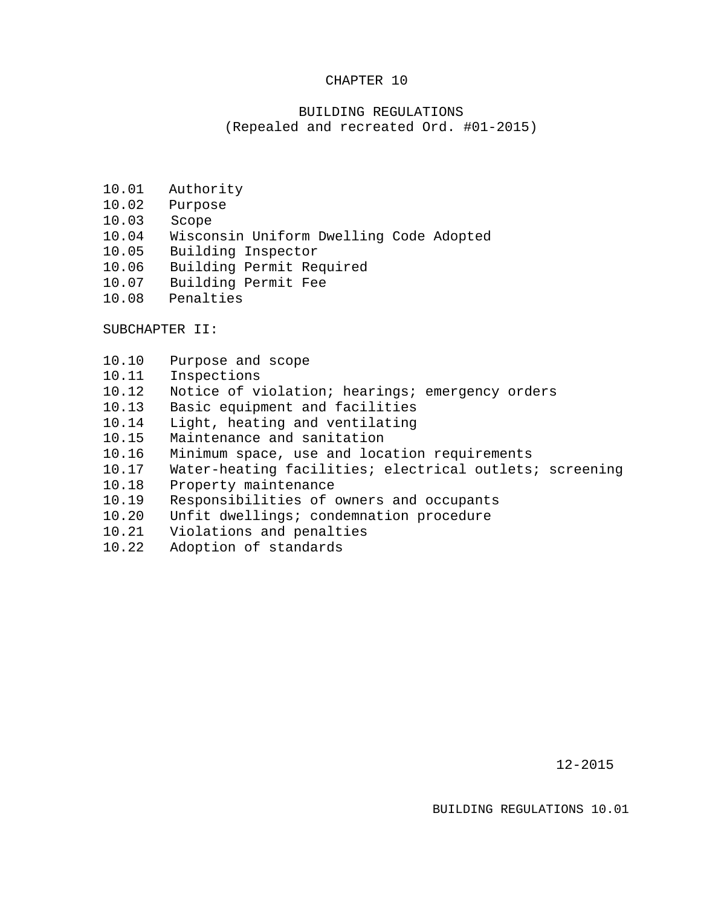#### CHAPTER 10

### BUILDING REGULATIONS (Repealed and recreated Ord. #01-2015)

- 10.01 Authority
- 10.02 Purpose
- 10.03 Scope
- 10.04 Wisconsin Uniform Dwelling Code Adopted
- 10.05 Building Inspector
- 10.06 Building Permit Required
- 10.07 Building Permit Fee
- 10.08 Penalties

SUBCHAPTER II:

- 10.10 Purpose and scope
- 10.11 Inspections
- 10.12 Notice of violation; hearings; emergency orders
- 10.13 Basic equipment and facilities
- 10.14 Light, heating and ventilating
- 10.15 Maintenance and sanitation
- 10.16 Minimum space, use and location requirements
- 10.17 Water-heating facilities; electrical outlets; screening
- 10.18 Property maintenance
- 10.19 Responsibilities of owners and occupants
- 10.20 Unfit dwellings; condemnation procedure
- 10.21 Violations and penalties
- 10.22 Adoption of standards

12-2015

BUILDING REGULATIONS 10.01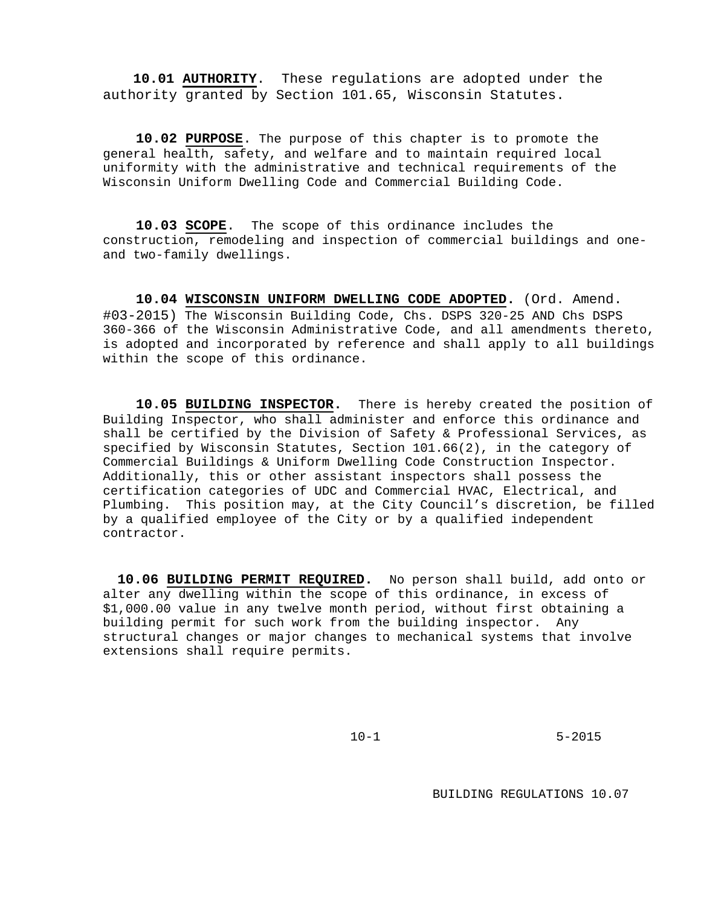**10.01 AUTHORITY**. These regulations are adopted under the authority granted by Section 101.65, Wisconsin Statutes.

**10.02 PURPOSE**. The purpose of this chapter is to promote the general health, safety, and welfare and to maintain required local uniformity with the administrative and technical requirements of the Wisconsin Uniform Dwelling Code and Commercial Building Code.

**10.03 SCOPE**. The scope of this ordinance includes the construction, remodeling and inspection of commercial buildings and oneand two-family dwellings.

**10.04 WISCONSIN UNIFORM DWELLING CODE ADOPTED.** (Ord. Amend. #03-2015) The Wisconsin Building Code, Chs. DSPS 320-25 AND Chs DSPS 360-366 of the Wisconsin Administrative Code, and all amendments thereto, is adopted and incorporated by reference and shall apply to all buildings within the scope of this ordinance.

**10.05 BUILDING INSPECTOR.** There is hereby created the position of Building Inspector, who shall administer and enforce this ordinance and shall be certified by the Division of Safety & Professional Services, as specified by Wisconsin Statutes, Section 101.66(2), in the category of Commercial Buildings & Uniform Dwelling Code Construction Inspector. Additionally, this or other assistant inspectors shall possess the certification categories of UDC and Commercial HVAC, Electrical, and Plumbing. This position may, at the City Council's discretion, be filled by a qualified employee of the City or by a qualified independent contractor.

**10.06 BUILDING PERMIT REQUIRED.** No person shall build, add onto or alter any dwelling within the scope of this ordinance, in excess of \$1,000.00 value in any twelve month period, without first obtaining a building permit for such work from the building inspector. Any structural changes or major changes to mechanical systems that involve extensions shall require permits.

10-1 5-2015

BUILDING REGULATIONS 10.07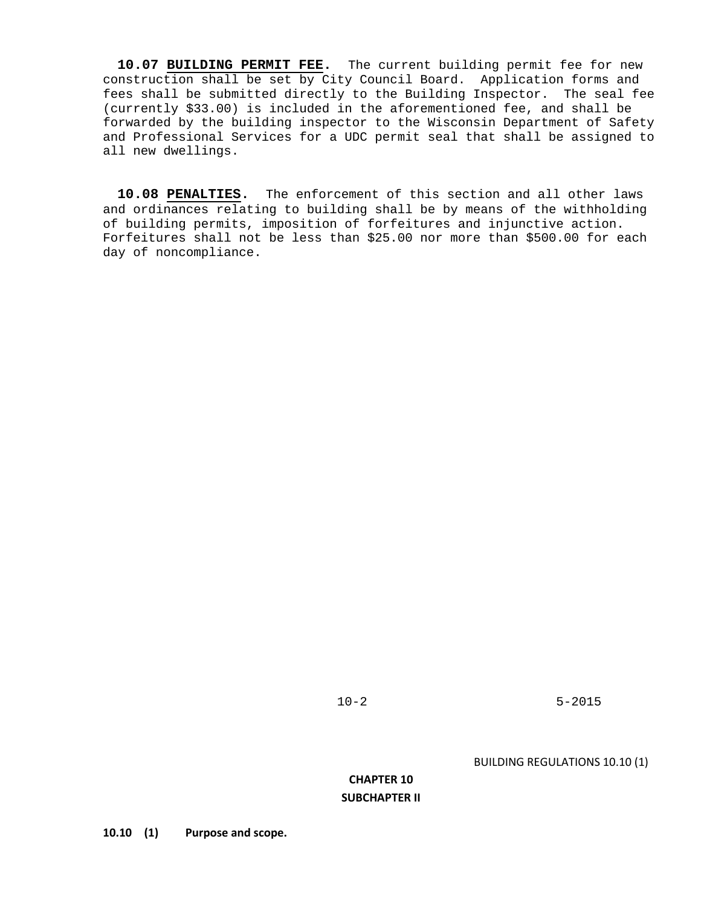**10.07 BUILDING PERMIT FEE.** The current building permit fee for new construction shall be set by City Council Board. Application forms and fees shall be submitted directly to the Building Inspector. The seal fee (currently \$33.00) is included in the aforementioned fee, and shall be forwarded by the building inspector to the Wisconsin Department of Safety and Professional Services for a UDC permit seal that shall be assigned to all new dwellings.

**10.08 PENALTIES.** The enforcement of this section and all other laws and ordinances relating to building shall be by means of the withholding of building permits, imposition of forfeitures and injunctive action. Forfeitures shall not be less than \$25.00 nor more than \$500.00 for each day of noncompliance.

10-2 5-2015

BUILDING REGULATIONS 10.10 (1)

## **CHAPTER 10 SUBCHAPTER II**

**10.10 (1) Purpose and scope.**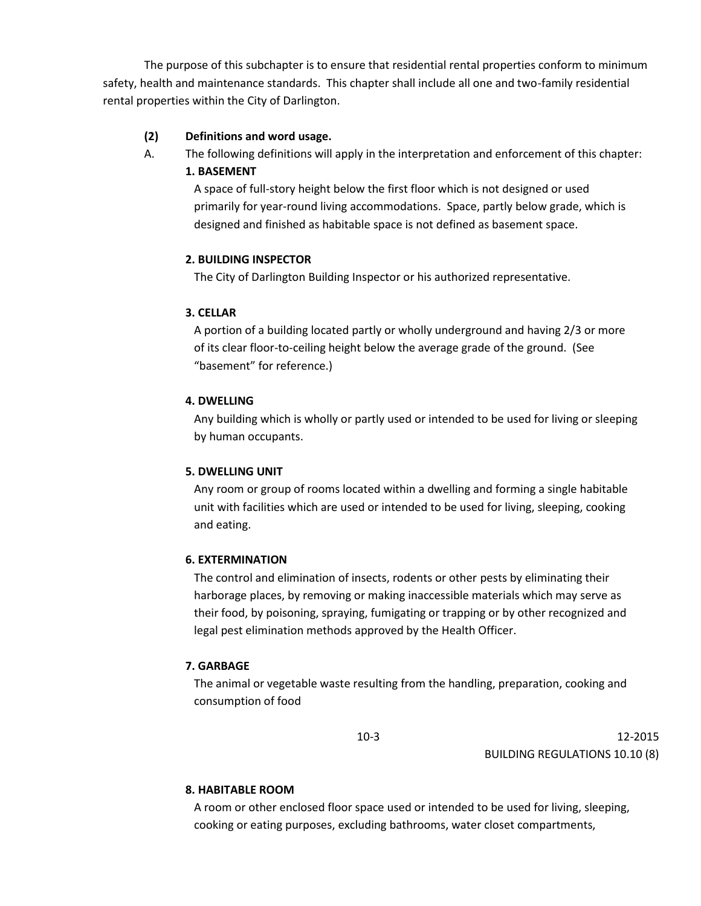The purpose of this subchapter is to ensure that residential rental properties conform to minimum safety, health and maintenance standards. This chapter shall include all one and two-family residential rental properties within the City of Darlington.

## **(2) Definitions and word usage.**

A. The following definitions will apply in the interpretation and enforcement of this chapter:

# **1. BASEMENT**

A space of full-story height below the first floor which is not designed or used primarily for year-round living accommodations. Space, partly below grade, which is designed and finished as habitable space is not defined as basement space.

# **2. BUILDING INSPECTOR**

The City of Darlington Building Inspector or his authorized representative.

## **3. CELLAR**

A portion of a building located partly or wholly underground and having 2/3 or more of its clear floor-to-ceiling height below the average grade of the ground. (See "basement" for reference.)

### **4. DWELLING**

Any building which is wholly or partly used or intended to be used for living or sleeping by human occupants.

# **5. DWELLING UNIT**

Any room or group of rooms located within a dwelling and forming a single habitable unit with facilities which are used or intended to be used for living, sleeping, cooking and eating.

### **6. EXTERMINATION**

The control and elimination of insects, rodents or other pests by eliminating their harborage places, by removing or making inaccessible materials which may serve as their food, by poisoning, spraying, fumigating or trapping or by other recognized and legal pest elimination methods approved by the Health Officer.

### **7. GARBAGE**

The animal or vegetable waste resulting from the handling, preparation, cooking and consumption of food

10-3 12-2015 BUILDING REGULATIONS 10.10 (8)

### **8. HABITABLE ROOM**

A room or other enclosed floor space used or intended to be used for living, sleeping, cooking or eating purposes, excluding bathrooms, water closet compartments,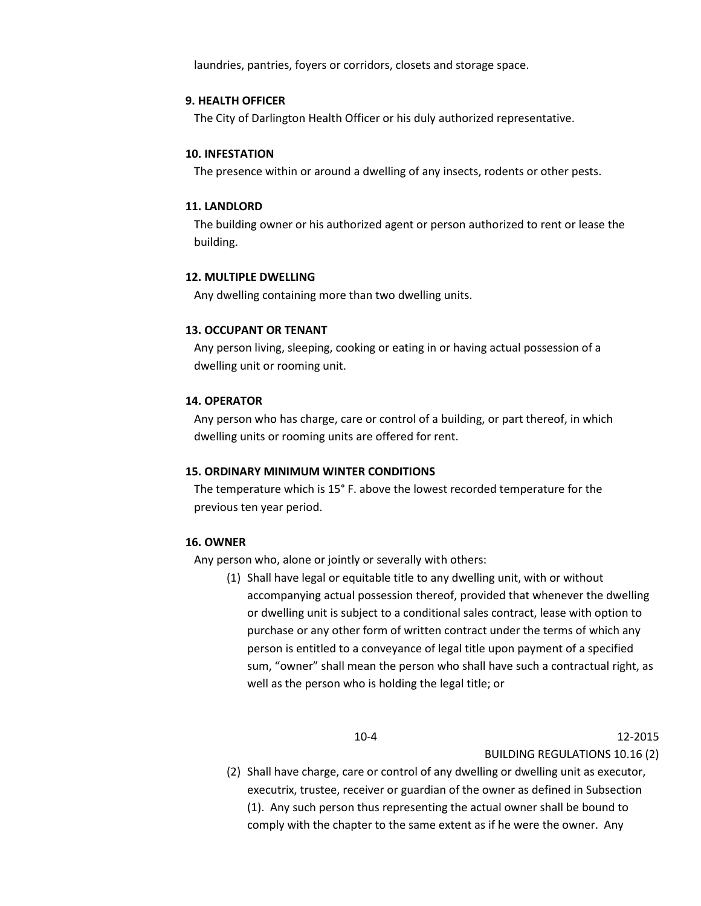laundries, pantries, foyers or corridors, closets and storage space.

### **9. HEALTH OFFICER**

The City of Darlington Health Officer or his duly authorized representative.

#### **10. INFESTATION**

The presence within or around a dwelling of any insects, rodents or other pests.

### **11. LANDLORD**

The building owner or his authorized agent or person authorized to rent or lease the building.

### **12. MULTIPLE DWELLING**

Any dwelling containing more than two dwelling units.

### **13. OCCUPANT OR TENANT**

Any person living, sleeping, cooking or eating in or having actual possession of a dwelling unit or rooming unit.

#### **14. OPERATOR**

Any person who has charge, care or control of a building, or part thereof, in which dwelling units or rooming units are offered for rent.

### **15. ORDINARY MINIMUM WINTER CONDITIONS**

The temperature which is 15° F. above the lowest recorded temperature for the previous ten year period.

#### **16. OWNER**

Any person who, alone or jointly or severally with others:

(1) Shall have legal or equitable title to any dwelling unit, with or without accompanying actual possession thereof, provided that whenever the dwelling or dwelling unit is subject to a conditional sales contract, lease with option to purchase or any other form of written contract under the terms of which any person is entitled to a conveyance of legal title upon payment of a specified sum, "owner" shall mean the person who shall have such a contractual right, as well as the person who is holding the legal title; or

10-4 12-2015 BUILDING REGULATIONS 10.16 (2)

(2) Shall have charge, care or control of any dwelling or dwelling unit as executor, executrix, trustee, receiver or guardian of the owner as defined in Subsection (1). Any such person thus representing the actual owner shall be bound to comply with the chapter to the same extent as if he were the owner. Any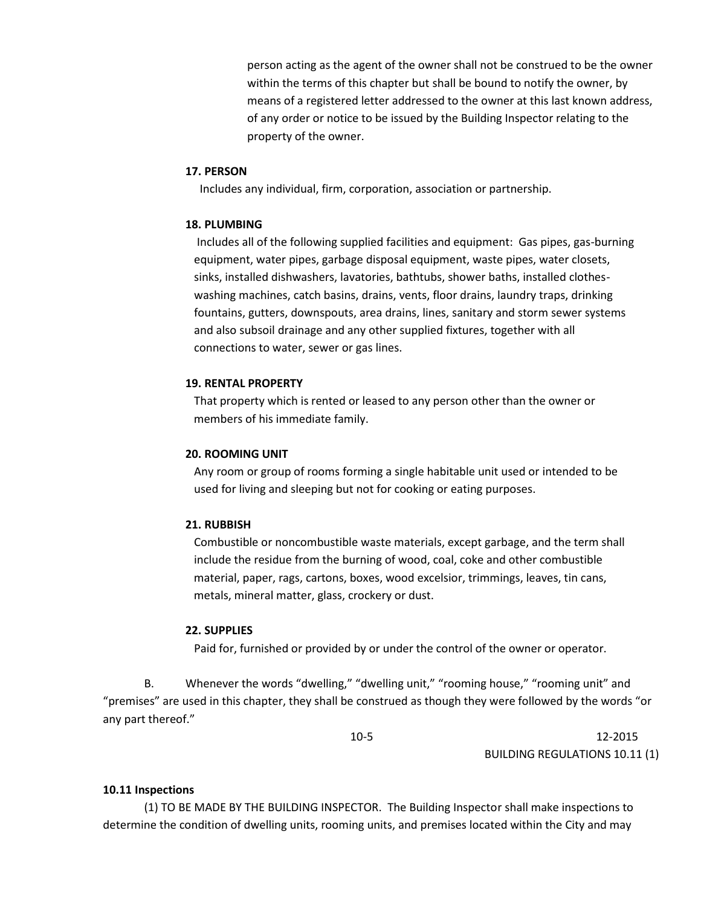person acting as the agent of the owner shall not be construed to be the owner within the terms of this chapter but shall be bound to notify the owner, by means of a registered letter addressed to the owner at this last known address, of any order or notice to be issued by the Building Inspector relating to the property of the owner.

### **17. PERSON**

Includes any individual, firm, corporation, association or partnership.

#### **18. PLUMBING**

Includes all of the following supplied facilities and equipment: Gas pipes, gas-burning equipment, water pipes, garbage disposal equipment, waste pipes, water closets, sinks, installed dishwashers, lavatories, bathtubs, shower baths, installed clothes washing machines, catch basins, drains, vents, floor drains, laundry traps, drinking fountains, gutters, downspouts, area drains, lines, sanitary and storm sewer systems and also subsoil drainage and any other supplied fixtures, together with all connections to water, sewer or gas lines.

### **19. RENTAL PROPERTY**

That property which is rented or leased to any person other than the owner or members of his immediate family.

### **20. ROOMING UNIT**

Any room or group of rooms forming a single habitable unit used or intended to be used for living and sleeping but not for cooking or eating purposes.

#### **21. RUBBISH**

Combustible or noncombustible waste materials, except garbage, and the term shall include the residue from the burning of wood, coal, coke and other combustible material, paper, rags, cartons, boxes, wood excelsior, trimmings, leaves, tin cans, metals, mineral matter, glass, crockery or dust.

### **22. SUPPLIES**

Paid for, furnished or provided by or under the control of the owner or operator.

B. Whenever the words "dwelling," "dwelling unit," "rooming house," "rooming unit" and "premises" are used in this chapter, they shall be construed as though they were followed by the words "or any part thereof."

10-5 12-2015 BUILDING REGULATIONS 10.11 (1)

#### **10.11 Inspections**

(1) TO BE MADE BY THE BUILDING INSPECTOR. The Building Inspector shall make inspections to determine the condition of dwelling units, rooming units, and premises located within the City and may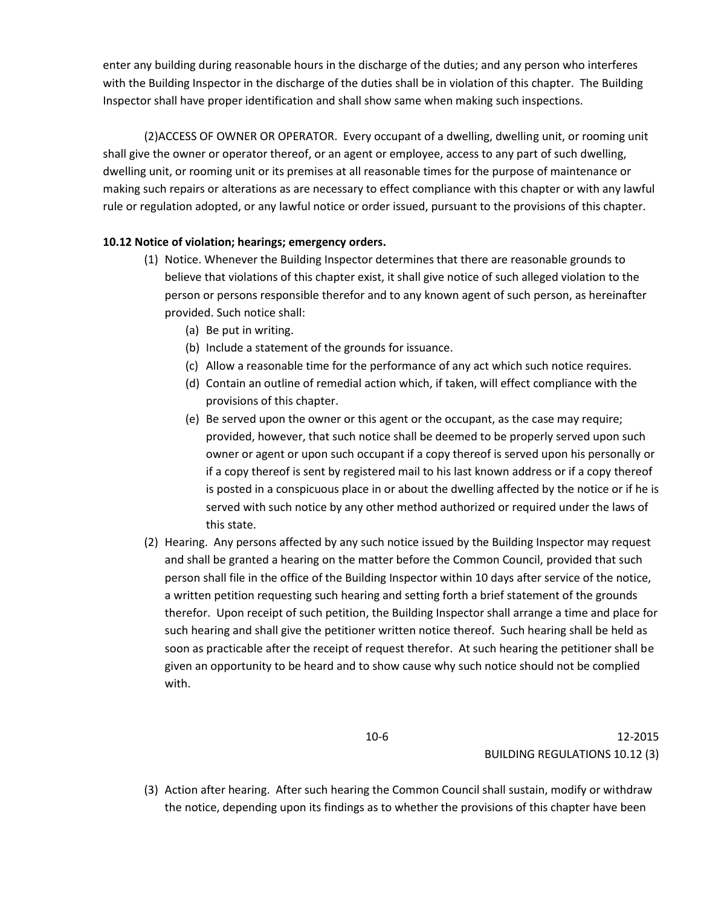enter any building during reasonable hours in the discharge of the duties; and any person who interferes with the Building Inspector in the discharge of the duties shall be in violation of this chapter. The Building Inspector shall have proper identification and shall show same when making such inspections.

(2)ACCESS OF OWNER OR OPERATOR. Every occupant of a dwelling, dwelling unit, or rooming unit shall give the owner or operator thereof, or an agent or employee, access to any part of such dwelling, dwelling unit, or rooming unit or its premises at all reasonable times for the purpose of maintenance or making such repairs or alterations as are necessary to effect compliance with this chapter or with any lawful rule or regulation adopted, or any lawful notice or order issued, pursuant to the provisions of this chapter.

# **10.12 Notice of violation; hearings; emergency orders.**

- (1) Notice. Whenever the Building Inspector determines that there are reasonable grounds to believe that violations of this chapter exist, it shall give notice of such alleged violation to the person or persons responsible therefor and to any known agent of such person, as hereinafter provided. Such notice shall:
	- (a) Be put in writing.
	- (b) Include a statement of the grounds for issuance.
	- (c) Allow a reasonable time for the performance of any act which such notice requires.
	- (d) Contain an outline of remedial action which, if taken, will effect compliance with the provisions of this chapter.
	- (e) Be served upon the owner or this agent or the occupant, as the case may require; provided, however, that such notice shall be deemed to be properly served upon such owner or agent or upon such occupant if a copy thereof is served upon his personally or if a copy thereof is sent by registered mail to his last known address or if a copy thereof is posted in a conspicuous place in or about the dwelling affected by the notice or if he is served with such notice by any other method authorized or required under the laws of this state.
- (2) Hearing. Any persons affected by any such notice issued by the Building Inspector may request and shall be granted a hearing on the matter before the Common Council, provided that such person shall file in the office of the Building Inspector within 10 days after service of the notice, a written petition requesting such hearing and setting forth a brief statement of the grounds therefor. Upon receipt of such petition, the Building Inspector shall arrange a time and place for such hearing and shall give the petitioner written notice thereof. Such hearing shall be held as soon as practicable after the receipt of request therefor. At such hearing the petitioner shall be given an opportunity to be heard and to show cause why such notice should not be complied with.

10-6 12-2015 BUILDING REGULATIONS 10.12 (3)

(3) Action after hearing. After such hearing the Common Council shall sustain, modify or withdraw the notice, depending upon its findings as to whether the provisions of this chapter have been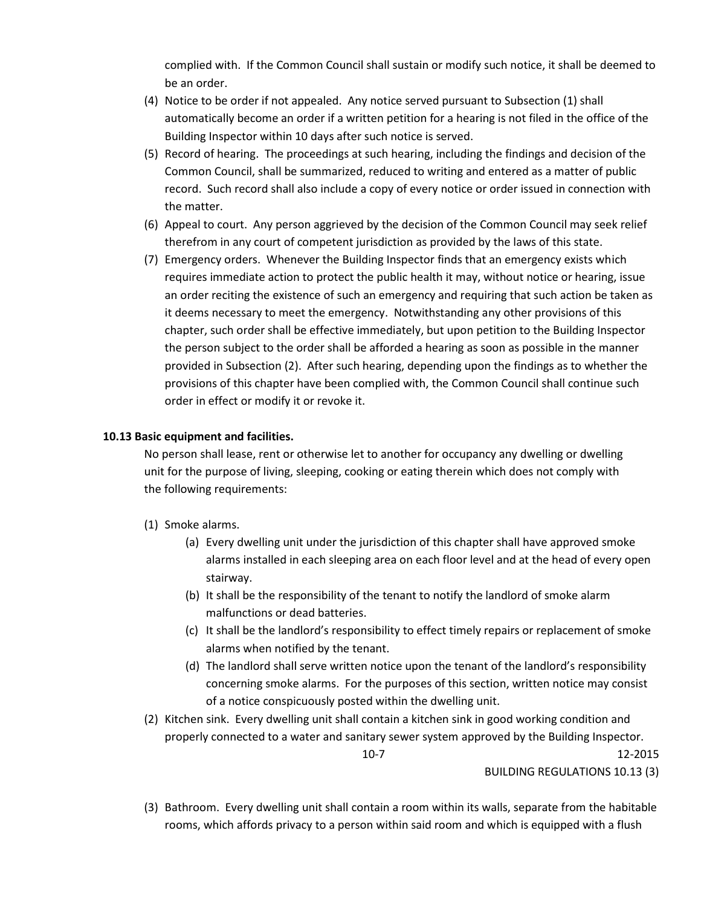complied with. If the Common Council shall sustain or modify such notice, it shall be deemed to be an order.

- (4) Notice to be order if not appealed. Any notice served pursuant to Subsection (1) shall automatically become an order if a written petition for a hearing is not filed in the office of the Building Inspector within 10 days after such notice is served.
- (5) Record of hearing. The proceedings at such hearing, including the findings and decision of the Common Council, shall be summarized, reduced to writing and entered as a matter of public record. Such record shall also include a copy of every notice or order issued in connection with the matter.
- (6) Appeal to court. Any person aggrieved by the decision of the Common Council may seek relief therefrom in any court of competent jurisdiction as provided by the laws of this state.
- (7) Emergency orders. Whenever the Building Inspector finds that an emergency exists which requires immediate action to protect the public health it may, without notice or hearing, issue an order reciting the existence of such an emergency and requiring that such action be taken as it deems necessary to meet the emergency. Notwithstanding any other provisions of this chapter, such order shall be effective immediately, but upon petition to the Building Inspector the person subject to the order shall be afforded a hearing as soon as possible in the manner provided in Subsection (2). After such hearing, depending upon the findings as to whether the provisions of this chapter have been complied with, the Common Council shall continue such order in effect or modify it or revoke it.

### **10.13 Basic equipment and facilities.**

No person shall lease, rent or otherwise let to another for occupancy any dwelling or dwelling unit for the purpose of living, sleeping, cooking or eating therein which does not comply with the following requirements:

- (1) Smoke alarms.
	- (a) Every dwelling unit under the jurisdiction of this chapter shall have approved smoke alarms installed in each sleeping area on each floor level and at the head of every open stairway.
	- (b) It shall be the responsibility of the tenant to notify the landlord of smoke alarm malfunctions or dead batteries.
	- (c) It shall be the landlord's responsibility to effect timely repairs or replacement of smoke alarms when notified by the tenant.
	- (d) The landlord shall serve written notice upon the tenant of the landlord's responsibility concerning smoke alarms. For the purposes of this section, written notice may consist of a notice conspicuously posted within the dwelling unit.
- (2) Kitchen sink. Every dwelling unit shall contain a kitchen sink in good working condition and properly connected to a water and sanitary sewer system approved by the Building Inspector. 10-7 12-2015

BUILDING REGULATIONS 10.13 (3)

(3) Bathroom. Every dwelling unit shall contain a room within its walls, separate from the habitable rooms, which affords privacy to a person within said room and which is equipped with a flush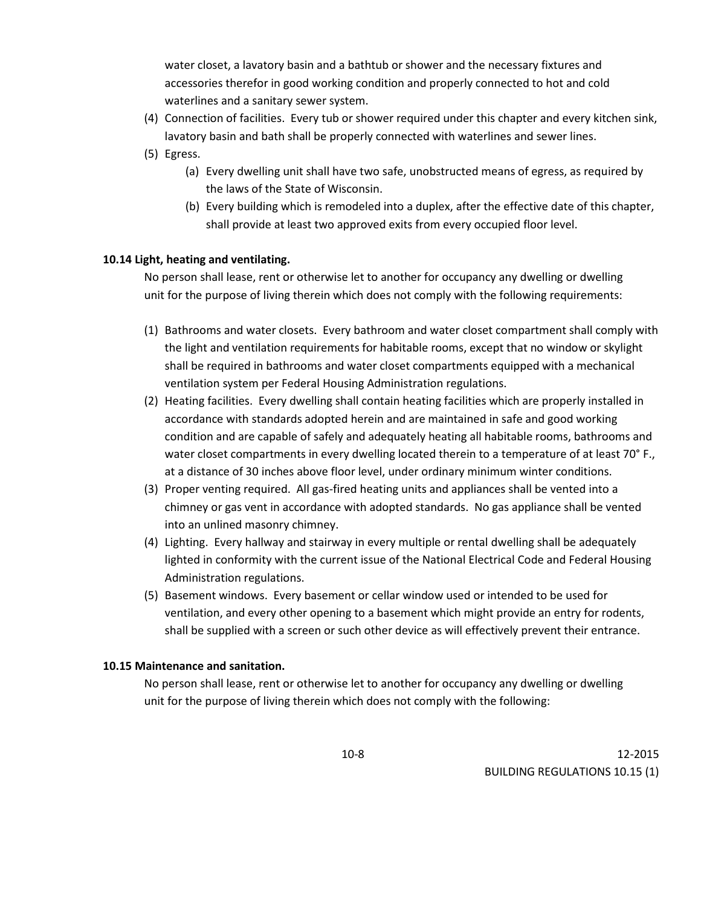water closet, a lavatory basin and a bathtub or shower and the necessary fixtures and accessories therefor in good working condition and properly connected to hot and cold waterlines and a sanitary sewer system.

- (4) Connection of facilities. Every tub or shower required under this chapter and every kitchen sink, lavatory basin and bath shall be properly connected with waterlines and sewer lines.
- (5) Egress.
	- (a) Every dwelling unit shall have two safe, unobstructed means of egress, as required by the laws of the State of Wisconsin.
	- (b) Every building which is remodeled into a duplex, after the effective date of this chapter, shall provide at least two approved exits from every occupied floor level.

### **10.14 Light, heating and ventilating.**

No person shall lease, rent or otherwise let to another for occupancy any dwelling or dwelling unit for the purpose of living therein which does not comply with the following requirements:

- (1) Bathrooms and water closets. Every bathroom and water closet compartment shall comply with the light and ventilation requirements for habitable rooms, except that no window or skylight shall be required in bathrooms and water closet compartments equipped with a mechanical ventilation system per Federal Housing Administration regulations.
- (2) Heating facilities. Every dwelling shall contain heating facilities which are properly installed in accordance with standards adopted herein and are maintained in safe and good working condition and are capable of safely and adequately heating all habitable rooms, bathrooms and water closet compartments in every dwelling located therein to a temperature of at least 70° F., at a distance of 30 inches above floor level, under ordinary minimum winter conditions.
- (3) Proper venting required. All gas-fired heating units and appliances shall be vented into a chimney or gas vent in accordance with adopted standards. No gas appliance shall be vented into an unlined masonry chimney.
- (4) Lighting. Every hallway and stairway in every multiple or rental dwelling shall be adequately lighted in conformity with the current issue of the National Electrical Code and Federal Housing Administration regulations.
- (5) Basement windows. Every basement or cellar window used or intended to be used for ventilation, and every other opening to a basement which might provide an entry for rodents, shall be supplied with a screen or such other device as will effectively prevent their entrance.

### **10.15 Maintenance and sanitation.**

No person shall lease, rent or otherwise let to another for occupancy any dwelling or dwelling unit for the purpose of living therein which does not comply with the following: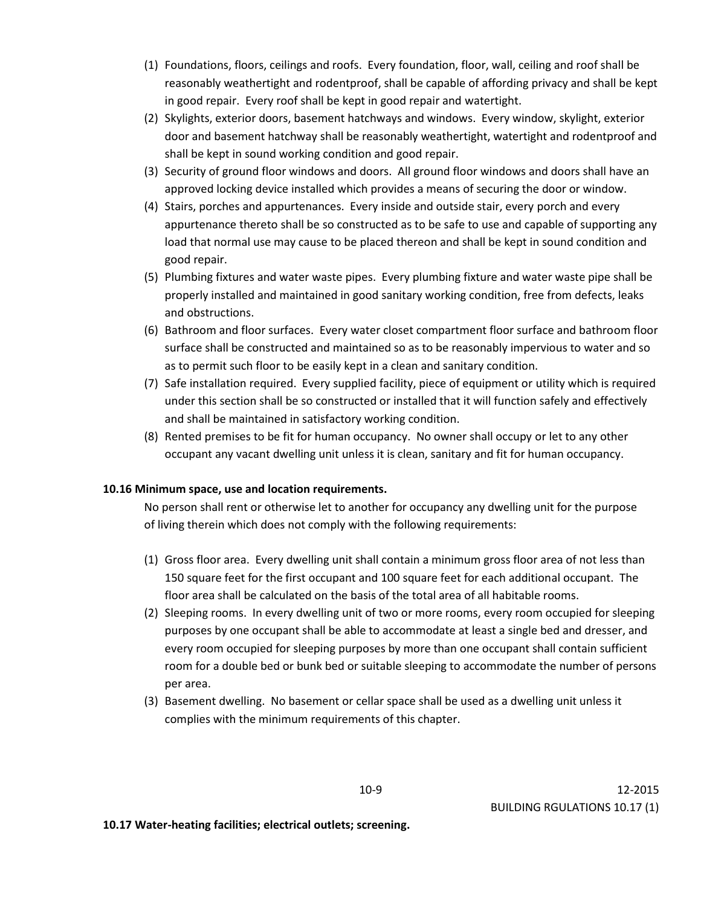- (1) Foundations, floors, ceilings and roofs. Every foundation, floor, wall, ceiling and roof shall be reasonably weathertight and rodentproof, shall be capable of affording privacy and shall be kept in good repair. Every roof shall be kept in good repair and watertight.
- (2) Skylights, exterior doors, basement hatchways and windows. Every window, skylight, exterior door and basement hatchway shall be reasonably weathertight, watertight and rodentproof and shall be kept in sound working condition and good repair.
- (3) Security of ground floor windows and doors. All ground floor windows and doors shall have an approved locking device installed which provides a means of securing the door or window.
- (4) Stairs, porches and appurtenances. Every inside and outside stair, every porch and every appurtenance thereto shall be so constructed as to be safe to use and capable of supporting any load that normal use may cause to be placed thereon and shall be kept in sound condition and good repair.
- (5) Plumbing fixtures and water waste pipes. Every plumbing fixture and water waste pipe shall be properly installed and maintained in good sanitary working condition, free from defects, leaks and obstructions.
- (6) Bathroom and floor surfaces. Every water closet compartment floor surface and bathroom floor surface shall be constructed and maintained so as to be reasonably impervious to water and so as to permit such floor to be easily kept in a clean and sanitary condition.
- (7) Safe installation required. Every supplied facility, piece of equipment or utility which is required under this section shall be so constructed or installed that it will function safely and effectively and shall be maintained in satisfactory working condition.
- (8) Rented premises to be fit for human occupancy. No owner shall occupy or let to any other occupant any vacant dwelling unit unless it is clean, sanitary and fit for human occupancy.

# **10.16 Minimum space, use and location requirements.**

No person shall rent or otherwise let to another for occupancy any dwelling unit for the purpose of living therein which does not comply with the following requirements:

- (1) Gross floor area. Every dwelling unit shall contain a minimum gross floor area of not less than 150 square feet for the first occupant and 100 square feet for each additional occupant. The floor area shall be calculated on the basis of the total area of all habitable rooms.
- (2) Sleeping rooms. In every dwelling unit of two or more rooms, every room occupied for sleeping purposes by one occupant shall be able to accommodate at least a single bed and dresser, and every room occupied for sleeping purposes by more than one occupant shall contain sufficient room for a double bed or bunk bed or suitable sleeping to accommodate the number of persons per area.
- (3) Basement dwelling. No basement or cellar space shall be used as a dwelling unit unless it complies with the minimum requirements of this chapter.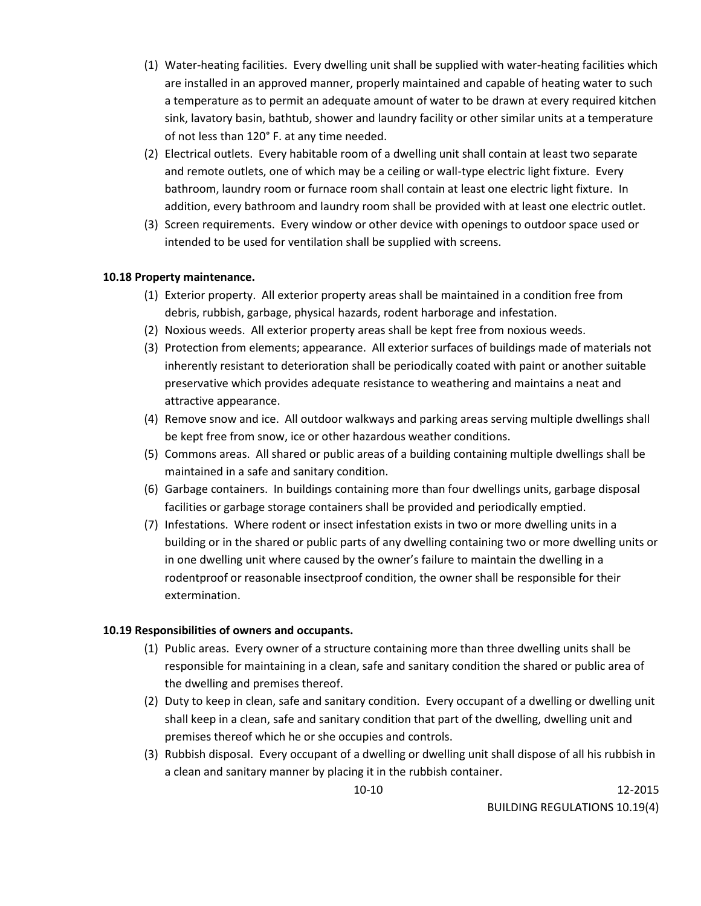- (1) Water-heating facilities. Every dwelling unit shall be supplied with water-heating facilities which are installed in an approved manner, properly maintained and capable of heating water to such a temperature as to permit an adequate amount of water to be drawn at every required kitchen sink, lavatory basin, bathtub, shower and laundry facility or other similar units at a temperature of not less than 120° F. at any time needed.
- (2) Electrical outlets. Every habitable room of a dwelling unit shall contain at least two separate and remote outlets, one of which may be a ceiling or wall-type electric light fixture. Every bathroom, laundry room or furnace room shall contain at least one electric light fixture. In addition, every bathroom and laundry room shall be provided with at least one electric outlet.
- (3) Screen requirements. Every window or other device with openings to outdoor space used or intended to be used for ventilation shall be supplied with screens.

## **10.18 Property maintenance.**

- (1) Exterior property. All exterior property areas shall be maintained in a condition free from debris, rubbish, garbage, physical hazards, rodent harborage and infestation.
- (2) Noxious weeds. All exterior property areas shall be kept free from noxious weeds.
- (3) Protection from elements; appearance. All exterior surfaces of buildings made of materials not inherently resistant to deterioration shall be periodically coated with paint or another suitable preservative which provides adequate resistance to weathering and maintains a neat and attractive appearance.
- (4) Remove snow and ice. All outdoor walkways and parking areas serving multiple dwellings shall be kept free from snow, ice or other hazardous weather conditions.
- (5) Commons areas. All shared or public areas of a building containing multiple dwellings shall be maintained in a safe and sanitary condition.
- (6) Garbage containers. In buildings containing more than four dwellings units, garbage disposal facilities or garbage storage containers shall be provided and periodically emptied.
- (7) Infestations. Where rodent or insect infestation exists in two or more dwelling units in a building or in the shared or public parts of any dwelling containing two or more dwelling units or in one dwelling unit where caused by the owner's failure to maintain the dwelling in a rodentproof or reasonable insectproof condition, the owner shall be responsible for their extermination.

### **10.19 Responsibilities of owners and occupants.**

- (1) Public areas. Every owner of a structure containing more than three dwelling units shall be responsible for maintaining in a clean, safe and sanitary condition the shared or public area of the dwelling and premises thereof.
- (2) Duty to keep in clean, safe and sanitary condition. Every occupant of a dwelling or dwelling unit shall keep in a clean, safe and sanitary condition that part of the dwelling, dwelling unit and premises thereof which he or she occupies and controls.
- (3) Rubbish disposal. Every occupant of a dwelling or dwelling unit shall dispose of all his rubbish in a clean and sanitary manner by placing it in the rubbish container.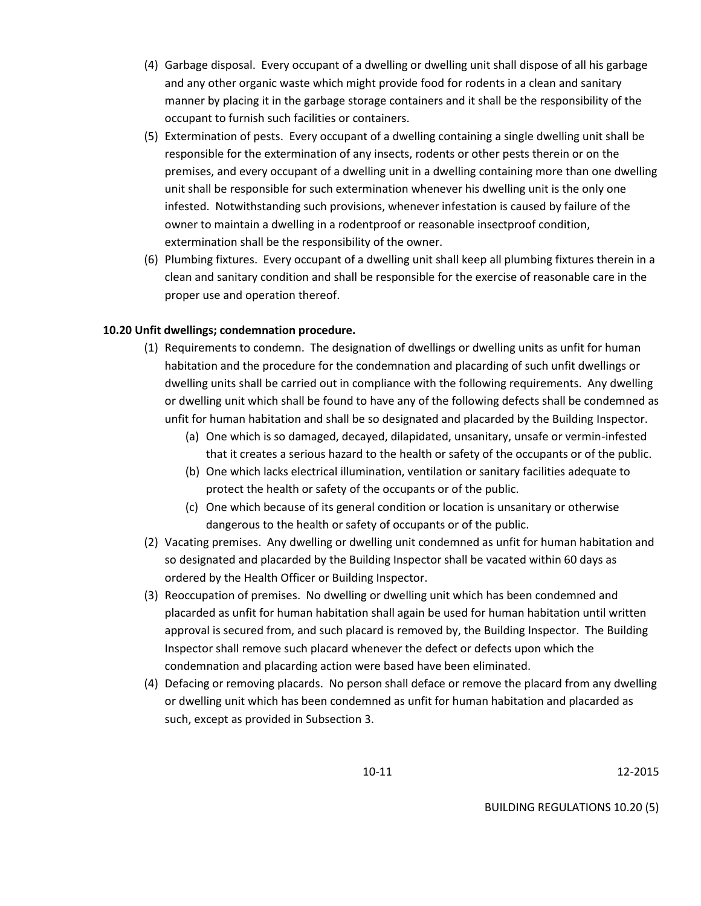- (4) Garbage disposal. Every occupant of a dwelling or dwelling unit shall dispose of all his garbage and any other organic waste which might provide food for rodents in a clean and sanitary manner by placing it in the garbage storage containers and it shall be the responsibility of the occupant to furnish such facilities or containers.
- (5) Extermination of pests. Every occupant of a dwelling containing a single dwelling unit shall be responsible for the extermination of any insects, rodents or other pests therein or on the premises, and every occupant of a dwelling unit in a dwelling containing more than one dwelling unit shall be responsible for such extermination whenever his dwelling unit is the only one infested. Notwithstanding such provisions, whenever infestation is caused by failure of the owner to maintain a dwelling in a rodentproof or reasonable insectproof condition, extermination shall be the responsibility of the owner.
- (6) Plumbing fixtures. Every occupant of a dwelling unit shall keep all plumbing fixtures therein in a clean and sanitary condition and shall be responsible for the exercise of reasonable care in the proper use and operation thereof.

## **10.20 Unfit dwellings; condemnation procedure.**

- (1) Requirements to condemn. The designation of dwellings or dwelling units as unfit for human habitation and the procedure for the condemnation and placarding of such unfit dwellings or dwelling units shall be carried out in compliance with the following requirements. Any dwelling or dwelling unit which shall be found to have any of the following defects shall be condemned as unfit for human habitation and shall be so designated and placarded by the Building Inspector.
	- (a) One which is so damaged, decayed, dilapidated, unsanitary, unsafe or vermin-infested that it creates a serious hazard to the health or safety of the occupants or of the public.
	- (b) One which lacks electrical illumination, ventilation or sanitary facilities adequate to protect the health or safety of the occupants or of the public.
	- (c) One which because of its general condition or location is unsanitary or otherwise dangerous to the health or safety of occupants or of the public.
- (2) Vacating premises. Any dwelling or dwelling unit condemned as unfit for human habitation and so designated and placarded by the Building Inspector shall be vacated within 60 days as ordered by the Health Officer or Building Inspector.
- (3) Reoccupation of premises. No dwelling or dwelling unit which has been condemned and placarded as unfit for human habitation shall again be used for human habitation until written approval is secured from, and such placard is removed by, the Building Inspector. The Building Inspector shall remove such placard whenever the defect or defects upon which the condemnation and placarding action were based have been eliminated.
- (4) Defacing or removing placards. No person shall deface or remove the placard from any dwelling or dwelling unit which has been condemned as unfit for human habitation and placarded as such, except as provided in Subsection 3.

BUILDING REGULATIONS 10.20 (5)